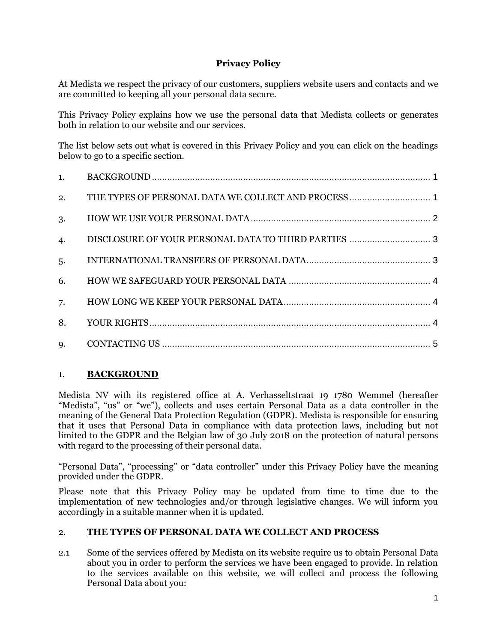# **Privacy Policy**

At Medista we respect the privacy of our customers, suppliers website users and contacts and we are committed to keeping all your personal data secure.

This Privacy Policy explains how we use the personal data that Medista collects or generates both in relation to our website and our services.

The list below sets out what is covered in this Privacy Policy and you can click on the headings below to go to a specific section.

| 1. |  |
|----|--|
| 2. |  |
| 3. |  |
| 4. |  |
| 5. |  |
| 6. |  |
| 7. |  |
| 8. |  |
| 9. |  |

# <span id="page-0-0"></span>1. **BACKGROUND**

Medista NV with its registered office at A. Verhasseltstraat 19 1780 Wemmel (hereafter "Medista", "us" or "we"), collects and uses certain Personal Data as a data controller in the meaning of the General Data Protection Regulation (GDPR). Medista is responsible for ensuring that it uses that Personal Data in compliance with data protection laws, including but not limited to the GDPR and the Belgian law of 30 July 2018 on the protection of natural persons with regard to the processing of their personal data.

"Personal Data", "processing" or "data controller" under this Privacy Policy have the meaning provided under the GDPR.

Please note that this Privacy Policy may be updated from time to time due to the implementation of new technologies and/or through legislative changes. We will inform you accordingly in a suitable manner when it is updated.

# <span id="page-0-1"></span>2. **THE TYPES OF PERSONAL DATA WE COLLECT AND PROCESS**

2.1 Some of the services offered by Medista on its website require us to obtain Personal Data about you in order to perform the services we have been engaged to provide. In relation to the services available on this website, we will collect and process the following Personal Data about you: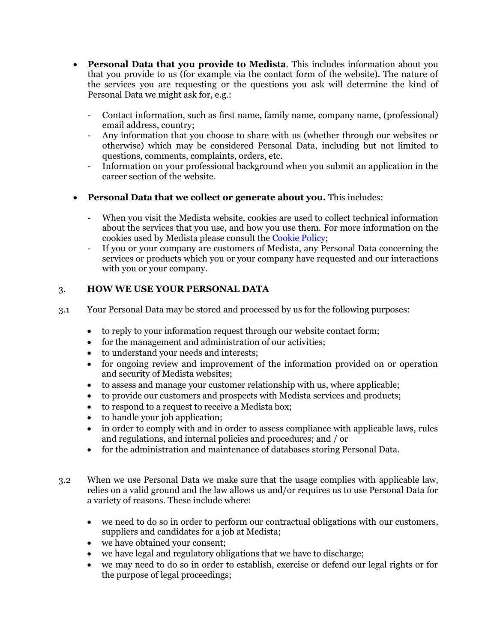- **Personal Data that you provide to Medista**. This includes information about you that you provide to us (for example via the contact form of the website). The nature of the services you are requesting or the questions you ask will determine the kind of Personal Data we might ask for, e.g.:
	- Contact information, such as first name, family name, company name, (professional) email address, country;
	- Any information that you choose to share with us (whether through our websites or otherwise) which may be considered Personal Data, including but not limited to questions, comments, complaints, orders, etc.
	- Information on your professional background when you submit an application in the career section of the website.
- **Personal Data that we collect or generate about you.** This includes:
	- When you visit the Medista website, cookies are used to collect technical information about the services that you use, and how you use them. For more information on the cookies used by Medista please consult the [Cookie Policy;](https://www.medista.be/cookie-policy-eu/)
	- If you or your company are customers of Medista, any Personal Data concerning the services or products which you or your company have requested and our interactions with you or your company.

## <span id="page-1-0"></span>3. **HOW WE USE YOUR PERSONAL DATA**

- 3.1 Your Personal Data may be stored and processed by us for the following purposes:
	- to reply to your information request through our website contact form;
	- for the management and administration of our activities;
	- to understand your needs and interests;
	- for ongoing review and improvement of the information provided on or operation and security of Medista websites;
	- to assess and manage your customer relationship with us, where applicable;
	- to provide our customers and prospects with Medista services and products;
	- to respond to a request to receive a Medista box:
	- to handle your job application;
	- in order to comply with and in order to assess compliance with applicable laws, rules and regulations, and internal policies and procedures; and / or
	- for the administration and maintenance of databases storing Personal Data.
- 3.2 When we use Personal Data we make sure that the usage complies with applicable law, relies on a valid ground and the law allows us and/or requires us to use Personal Data for a variety of reasons. These include where:
	- we need to do so in order to perform our contractual obligations with our customers, suppliers and candidates for a job at Medista;
	- we have obtained your consent;
	- we have legal and regulatory obligations that we have to discharge;
	- we may need to do so in order to establish, exercise or defend our legal rights or for the purpose of legal proceedings;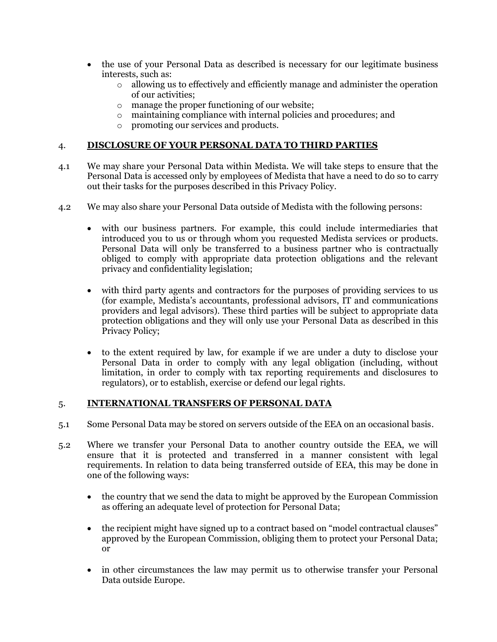- the use of your Personal Data as described is necessary for our legitimate business interests, such as:
	- o allowing us to effectively and efficiently manage and administer the operation of our activities;
	- o manage the proper functioning of our website;
	- o maintaining compliance with internal policies and procedures; and
	- o promoting our services and products.

### <span id="page-2-0"></span>4. **DISCLOSURE OF YOUR PERSONAL DATA TO THIRD PARTIES**

- 4.1 We may share your Personal Data within Medista. We will take steps to ensure that the Personal Data is accessed only by employees of Medista that have a need to do so to carry out their tasks for the purposes described in this Privacy Policy.
- 4.2 We may also share your Personal Data outside of Medista with the following persons:
	- with our business partners. For example, this could include intermediaries that introduced you to us or through whom you requested Medista services or products. Personal Data will only be transferred to a business partner who is contractually obliged to comply with appropriate data protection obligations and the relevant privacy and confidentiality legislation;
	- with third party agents and contractors for the purposes of providing services to us (for example, Medista's accountants, professional advisors, IT and communications providers and legal advisors). These third parties will be subject to appropriate data protection obligations and they will only use your Personal Data as described in this Privacy Policy;
	- to the extent required by law, for example if we are under a duty to disclose your Personal Data in order to comply with any legal obligation (including, without limitation, in order to comply with tax reporting requirements and disclosures to regulators), or to establish, exercise or defend our legal rights.

#### <span id="page-2-1"></span>5. **INTERNATIONAL TRANSFERS OF PERSONAL DATA**

- 5.1 Some Personal Data may be stored on servers outside of the EEA on an occasional basis.
- 5.2 Where we transfer your Personal Data to another country outside the EEA, we will ensure that it is protected and transferred in a manner consistent with legal requirements. In relation to data being transferred outside of EEA, this may be done in one of the following ways:
	- the country that we send the data to might be approved by the European Commission as offering an adequate level of protection for Personal Data;
	- the recipient might have signed up to a contract based on "model contractual clauses" approved by the European Commission, obliging them to protect your Personal Data; or
	- in other circumstances the law may permit us to otherwise transfer your Personal Data outside Europe.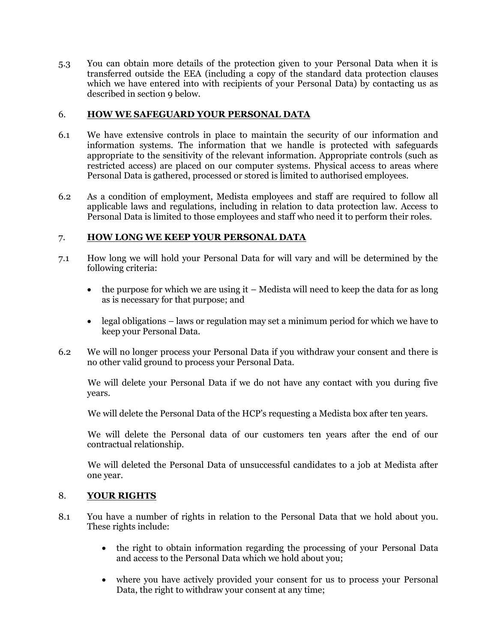5.3 You can obtain more details of the protection given to your Personal Data when it is transferred outside the EEA (including a copy of the standard data protection clauses which we have entered into with recipients of your Personal Data) by contacting us as described in section 9 below.

## <span id="page-3-0"></span>6. **HOW WE SAFEGUARD YOUR PERSONAL DATA**

- 6.1 We have extensive controls in place to maintain the security of our information and information systems. The information that we handle is protected with safeguards appropriate to the sensitivity of the relevant information. Appropriate controls (such as restricted access) are placed on our computer systems. Physical access to areas where Personal Data is gathered, processed or stored is limited to authorised employees.
- 6.2 As a condition of employment, Medista employees and staff are required to follow all applicable laws and regulations, including in relation to data protection law. Access to Personal Data is limited to those employees and staff who need it to perform their roles.

## <span id="page-3-1"></span>7. **HOW LONG WE KEEP YOUR PERSONAL DATA**

- 7.1 How long we will hold your Personal Data for will vary and will be determined by the following criteria:
	- the purpose for which we are using it  $-$  Medista will need to keep the data for as long as is necessary for that purpose; and
	- legal obligations laws or regulation may set a minimum period for which we have to keep your Personal Data.
- 6.2 We will no longer process your Personal Data if you withdraw your consent and there is no other valid ground to process your Personal Data.

We will delete your Personal Data if we do not have any contact with you during five years.

We will delete the Personal Data of the HCP's requesting a Medista box after ten years.

We will delete the Personal data of our customers ten years after the end of our contractual relationship.

We will deleted the Personal Data of unsuccessful candidates to a job at Medista after one year.

### <span id="page-3-2"></span>8. **YOUR RIGHTS**

- 8.1 You have a number of rights in relation to the Personal Data that we hold about you. These rights include:
	- the right to obtain information regarding the processing of your Personal Data and access to the Personal Data which we hold about you;
	- where you have actively provided your consent for us to process your Personal Data, the right to withdraw your consent at any time;